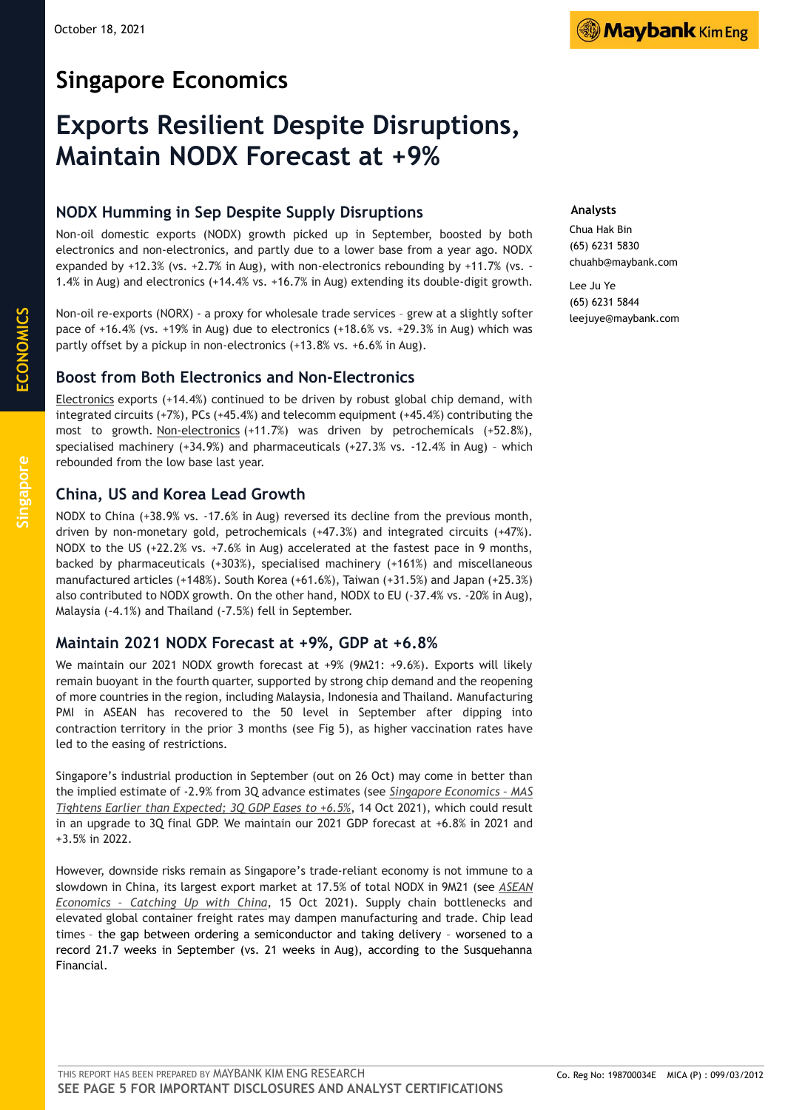# **Singapore Economics**

# **Exports Resilient Despite Disruptions, Maintain NODX Forecast at +9%**

## **NODX Humming in Sep Despite Supply Disruptions**

Non-oil domestic exports (NODX) growth picked up in September, boosted by both electronics and non-electronics, and partly due to a lower base from a year ago. NODX expanded by +12.3% (vs. +2.7% in Aug), with non-electronics rebounding by +11.7% (vs. - 1.4% in Aug) and electronics (+14.4% vs. +16.7% in Aug) extending its double-digit growth.

Non-oil re-exports (NORX) - a proxy for wholesale trade services – grew at a slightly softer pace of +16.4% (vs. +19% in Aug) due to electronics (+18.6% vs. +29.3% in Aug) which was partly offset by a pickup in non-electronics (+13.8% vs. +6.6% in Aug).

### **Boost from Both Electronics and Non-Electronics**

Electronics exports (+14.4%) continued to be driven by robust global chip demand, with integrated circuits (+7%), PCs (+45.4%) and telecomm equipment (+45.4%) contributing the most to growth. Non-electronics (+11.7%) was driven by petrochemicals (+52.8%), specialised machinery (+34.9%) and pharmaceuticals (+27.3% vs. -12.4% in Aug) – which rebounded from the low base last year.

### **China, US and Korea Lead Growth**

NODX to China (+38.9% vs. -17.6% in Aug) reversed its decline from the previous month, driven by non-monetary gold, petrochemicals (+47.3%) and integrated circuits (+47%). NODX to the US (+22.2% vs. +7.6% in Aug) accelerated at the fastest pace in 9 months, backed by pharmaceuticals (+303%), specialised machinery (+161%) and miscellaneous manufactured articles (+148%). South Korea (+61.6%), Taiwan (+31.5%) and Japan (+25.3%) also contributed to NODX growth. On the other hand, NODX to EU (-37.4% vs. -20% in Aug), Malaysia (-4.1%) and Thailand (-7.5%) fell in September.

### **Maintain 2021 NODX Forecast at +9%, GDP at +6.8%**

We maintain our 2021 NODX growth forecast at +9% (9M21: +9.6%). Exports will likely remain buoyant in the fourth quarter, supported by strong chip demand and the reopening of more countries in the region, including Malaysia, Indonesia and Thailand. Manufacturing PMI in ASEAN has recovered to the 50 level in September after dipping into contraction territory in the prior 3 months (see Fig 5), as higher vaccination rates have led to the easing of restrictions.

Singapore's industrial production in September (out on 26 Oct) may come in better than the implied estimate of -2.9% from 3Q advance estimates (see *[Singapore Economics –](https://mkefactsettd.maybank-ke.com/PDFS/237002.pdf#_blank) MAS [Tightens Earlier than Expected; 3Q GDP Eases to +6.5%](https://mkefactsettd.maybank-ke.com/PDFS/237002.pdf#_blank)*, 14 Oct 2021), which could result in an upgrade to 3Q final GDP. We maintain our 2021 GDP forecast at +6.8% in 2021 and +3.5% in 2022.

However, downside risks remain as Singapore's trade-reliant economy is not immune to a slowdown in China, its largest export market at 17.5% of total NODX in 9M21 (see *[ASEAN](https://mkefactsettd.maybank-ke.com/PDFS/237213.pdf#_blank)  Economics – [Catching Up with China](https://mkefactsettd.maybank-ke.com/PDFS/237213.pdf#_blank)*, 15 Oct 2021). Supply chain bottlenecks and elevated global container freight rates may dampen manufacturing and trade. Chip lead times – the gap between ordering a semiconductor and taking delivery – worsened to a record 21.7 weeks in September (vs. 21 weeks in Aug), according to the Susquehanna Financial.

#### **Analysts**

Chua Hak Bin (65) 6231 5830 chuahb@maybank.com

Lee Ju Ye (65) 6231 5844 leejuye@maybank.com

**ECONOMICS**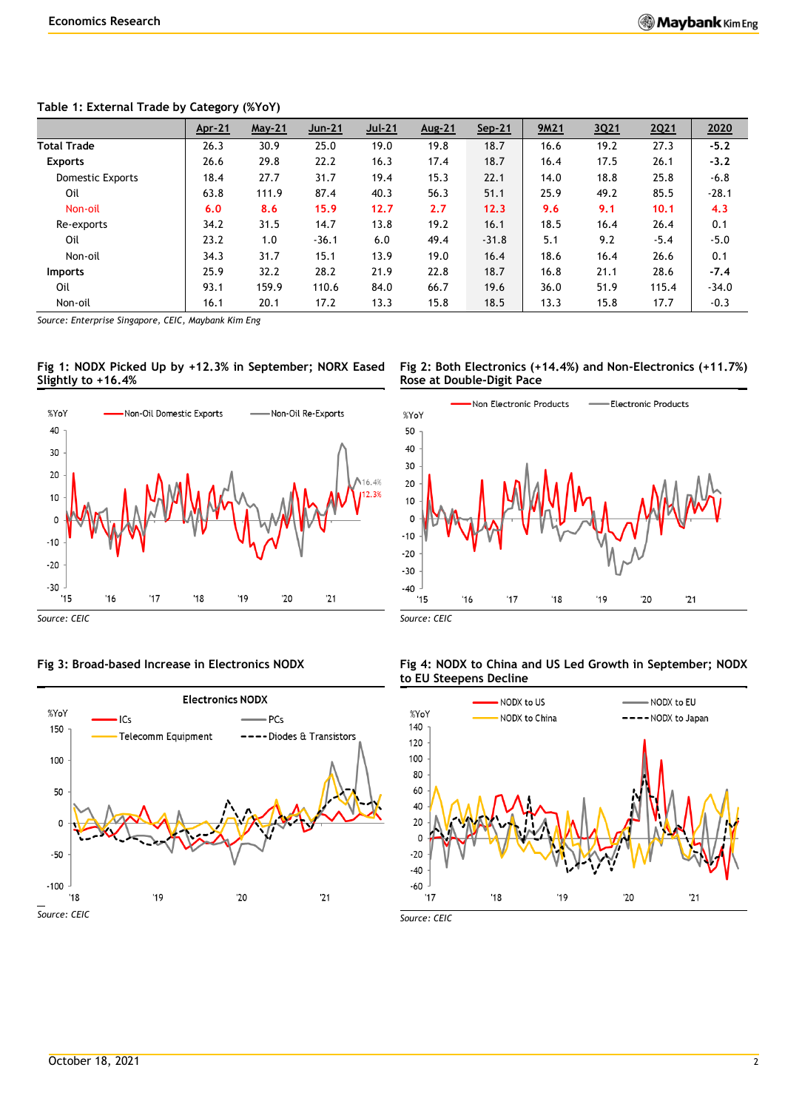#### **Table 1: External Trade by Category (%YoY)**

|                         | <u>Apr-21</u> | <b>May-21</b> | $Jun-21$ | Jul-21 | Aug-21 | Sep-21  | 9M21 | 3Q21 | 2Q21   | 2020    |
|-------------------------|---------------|---------------|----------|--------|--------|---------|------|------|--------|---------|
| <b>Total Trade</b>      | 26.3          | 30.9          | 25.0     | 19.0   | 19.8   | 18.7    | 16.6 | 19.2 | 27.3   | $-5.2$  |
| <b>Exports</b>          | 26.6          | 29.8          | 22.2     | 16.3   | 17.4   | 18.7    | 16.4 | 17.5 | 26.1   | $-3.2$  |
| <b>Domestic Exports</b> | 18.4          | 27.7          | 31.7     | 19.4   | 15.3   | 22.1    | 14.0 | 18.8 | 25.8   | $-6.8$  |
| Oil                     | 63.8          | 111.9         | 87.4     | 40.3   | 56.3   | 51.1    | 25.9 | 49.2 | 85.5   | $-28.1$ |
| Non-oil                 | 6.0           | 8.6           | 15.9     | 12.7   | 2.7    | 12.3    | 9.6  | 9.1  | 10.1   | 4.3     |
| Re-exports              | 34.2          | 31.5          | 14.7     | 13.8   | 19.2   | 16.1    | 18.5 | 16.4 | 26.4   | 0.1     |
| Oil                     | 23.2          | 1.0           | $-36.1$  | 6.0    | 49.4   | $-31.8$ | 5.1  | 9.2  | $-5.4$ | $-5.0$  |
| Non-oil                 | 34.3          | 31.7          | 15.1     | 13.9   | 19.0   | 16.4    | 18.6 | 16.4 | 26.6   | 0.1     |
| <b>Imports</b>          | 25.9          | 32.2          | 28.2     | 21.9   | 22.8   | 18.7    | 16.8 | 21.1 | 28.6   | $-7.4$  |
| Oil                     | 93.1          | 159.9         | 110.6    | 84.0   | 66.7   | 19.6    | 36.0 | 51.9 | 115.4  | $-34.0$ |
| Non-oil                 | 16.1          | 20.1          | 17.2     | 13.3   | 15.8   | 18.5    | 13.3 | 15.8 | 17.7   | $-0.3$  |

*Source: Enterprise Singapore, CEIC, Maybank Kim Eng*

#### **Fig 1: NODX Picked Up by +12.3% in September; NORX Eased Slightly to +16.4%**



*Source: CEIC*

#### **Fig 3: Broad-based Increase in Electronics NODX**



**Fig 2: Both Electronics (+14.4%) and Non-Electronics (+11.7%) Rose at Double-Digit Pace**



*Source: CEIC*

#### **Fig 4: NODX to China and US Led Growth in September; NODX to EU Steepens Decline**



*Source: CEIC*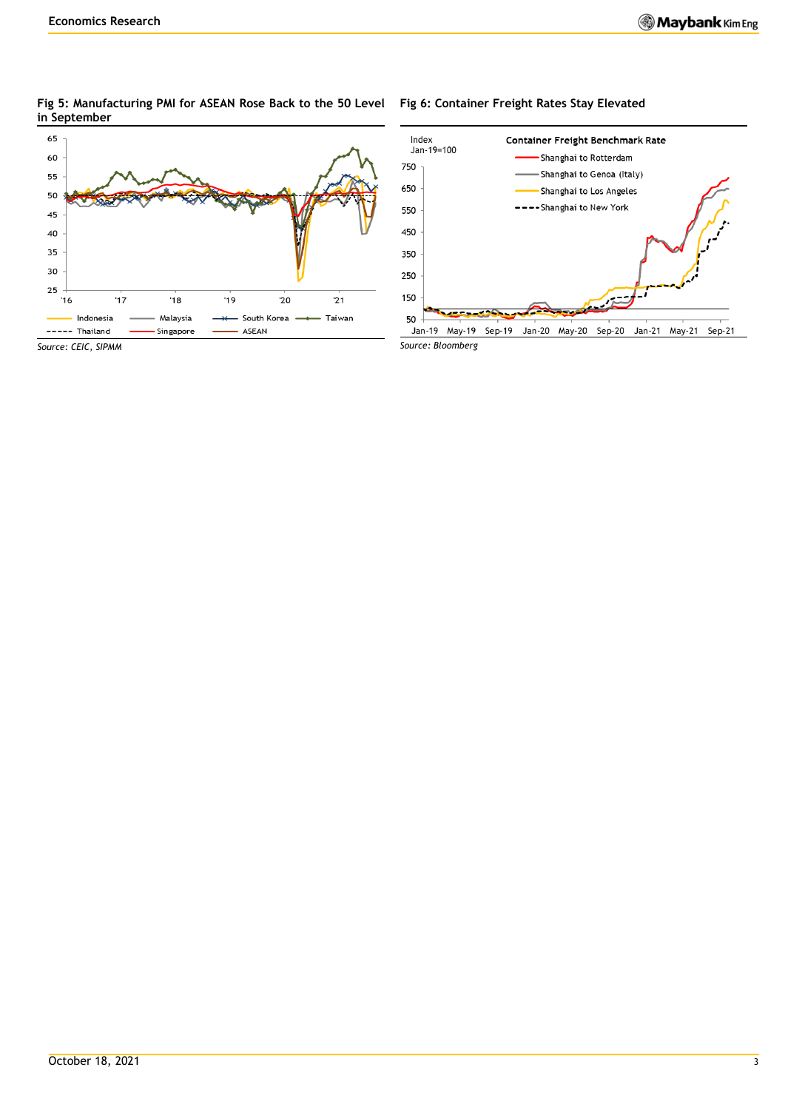#### **Fig 5: Manufacturing PMI for ASEAN Rose Back to the 50 Level Fig 6: Container Freight Rates Stay Elevated in September**

#### 65 60 55 50 45 40 35 30 25  $16$  $\overline{17}$  $18$  $-19$  $20$  $\overline{21}$ Indonesia Malaysia -\* South Korea -Taiwan ----- Thailand Singapore ASEAN *Source: CEIC, SIPMM*



Jan-19 May-19 Sep-19 Jan-20 May-20 Sep-20 Jan-21 May-21 Sep-21 *Source: Bloomberg*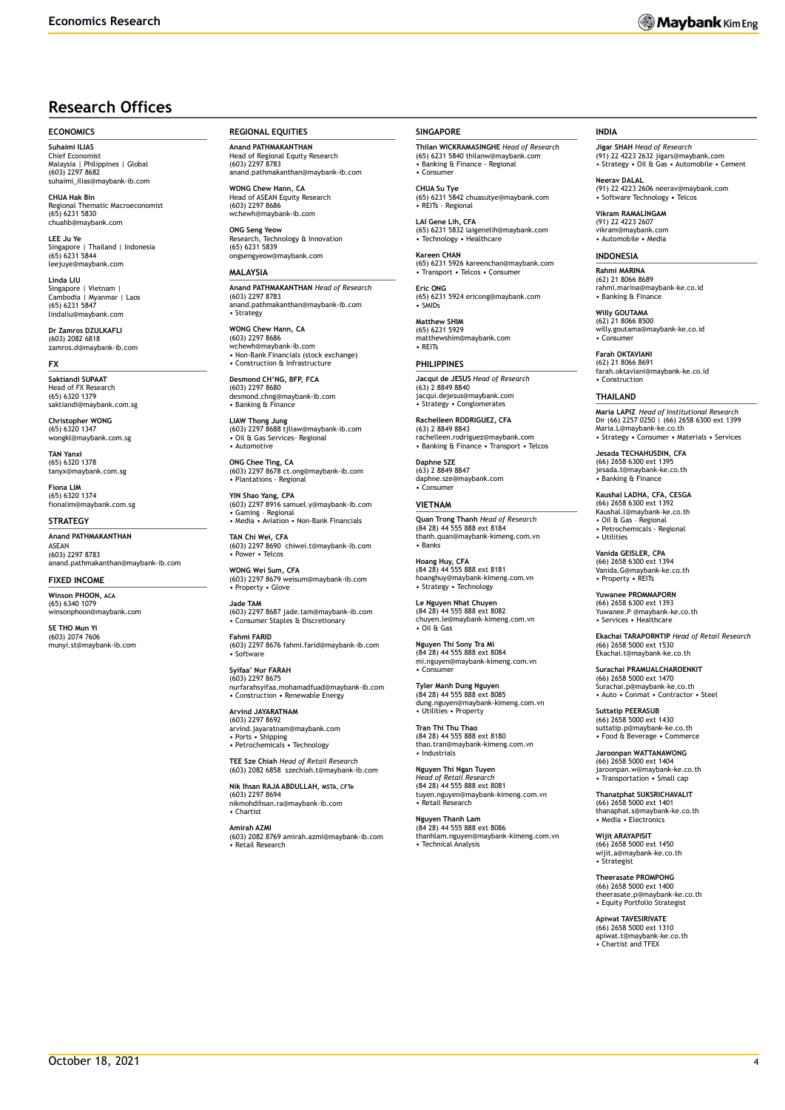### **Research Offices**

#### **ECONOMICS**

**Suhaimi ILIAS** Chief Economist Malaysia | Philippines | Global (603) 2297 8682 suhaimi\_ilias@maybank-ib.com

**CHUA Hak Bin** Regional Thematic Macroeconomist (65) 6231 5830 chuahb@maybank.com

**LEE Ju Ye** Singapore | Thailand | Indonesia (65) 6231 5844 leejuye@maybank.com

**Linda LIU** Singapore | Vietnam | Cambodia | Myanmar | Laos (65) 6231 5847 lindaliu@maybank.com

**Dr Zamros DZULKAFLI**  (603) 2082 6818 zamros.d@maybank-ib.com

#### **FX**

**Saktiandi SUPAAT**<br>Head of EX Research Head of FX R (65) 6320 1379 saktiandi@maybank.com.sg

**Christopher WONG** (65) 6320 1347 wongkl@maybank.com.sg

**TAN Yanxi** (65) 6320 1378 tanyx@maybank.com.sg

**Fiona LIM** (65) 6320 1374 fionalim@maybank.com.sg

#### **STRATEGY**

**Anand PATHMAKANTHAN** ASEAN (603) 2297 8783 anand.pathmakanthan@maybank-ib.com

#### **FIXED INCOME**

**Winson PHOON, ACA** (65) 6340 1079 winsonphoon@maybank.com

**SE THO Mun Yi** (603) 2074 7606 munyi.st@maybank-ib.com **REGIONAL EQUITIES**

**Anand PATHMAKANTHAN** Head of Regional Equity Research (603) 2297 8783 anand.pathmakanthan@maybank-ib.com

**WONG Chew Hann, CA** Head of ASEAN Equity Research (603) 2297 8686 www<br>naybank-ib.com

**ONG Seng Yeow** Research, Technology & Innovation (65) 6231 5839 ongsengyeow@maybank.com

#### **MALAYSIA**

**Anand PATHMAKANTHAN** *Head of Research* (603) 2297 8783 anand.pathmakanthan@maybank-ib.com • Strategy

**WONG Chew Hann, CA** (603) 2297 8686 wchewh@maybank-ib.com • Non-Bank Financials (stock exchange) • Construction & Infrastructure

**Desmond CH'NG, BFP, FCA** (603) 2297 8680 desmond.chng@maybank-ib.com • Banking & Finance

**LIAW Thong Jung** (603) 2297 8688 tjliaw@maybank-ib.com • Oil & Gas Services- Regional • Automotive

**ONG Chee Ting, CA** (603) 2297 8678 ct.ong@maybank-ib.com • Plantations - Regional

**YIN Shao Yang, CPA** (603) 2297 8916 samuel.y@maybank-ib.com • Gaming – Regional • Media • Aviation • Non-Bank Financials

**TAN Chi Wei, CFA** (603) 2297 8690 chiwei.t@maybank-ib.com • Power • Telcos

**WONG Wei Sum, CFA** (603) 2297 8679 weisum@maybank-ib.com • Property • Glove

**Jade TAM** (603) 2297 8687 jade.tam@maybank-ib.com • Consumer Staples & Discretionary

**Fahmi FARID**

(603) 2297 8676 fahmi.farid@maybank-ib.com • Software **Syifaa' Nur FARAH** (603) 2297 8675

nurfarahsyifaa.mohamadfuad@maybank-ib.com • Construction • Renewable Energy **Arvind JAYARATNAM**

(603) 2297 8692 arvind.jayaratnam@maybank.com • Ports • Shipping • Petrochemicals • Technology

**TEE Sze Chiah** *Head of Retail Research* (603) 2082 6858 szechiah.t@maybank-ib.com

**Nik Ihsan RAJA ABDULLAH, MSTA, CFTe** (603) 2297 8694 nikmohdihsan.ra@maybank-ib.com • Chartist

**Amirah AZMI** (603) 2082 8769 amirah.azmi@maybank-ib.com • Retail Research

#### **SINGAPORE**

**Thilan WICKRAMASINGHE** *Head of Research* (65) 6231 5840 thilanw@maybank.com • Banking & Finance - Regional • Consumer

**CHUA Su Tye**  (65) 6231 5842 chuasutye@maybank.com • REITs - Regional

**LAI Gene Lih, CFA** (65) 6231 5832 laigenelih@maybank.com • Technology • Healthcare

**Kareen CHAN** (65) 6231 5926 kareenchan@maybank.com • Transport • Telcos • Consumer

**Eric ONG** (65) 6231 5924 ericong@maybank.com • SMIDs

**Matthew SHIM** (65) 6231 5929 matthewshim@maybank.com • REITs

**PHILIPPINES Jacqui de JESUS** *Head of Research*

(63) 2 8849 8840 jacqui.dejesus@maybank.com • Strategy • Conglomerates **Rachelleen RODRIGUEZ, CFA**

(63) 2 8849 8843 rachelleen.rodriguez@maybank.com • Banking & Finance • Transport • Telcos

**Daphne SZE** (63) 2 8849 8847 daphne.sze@maybank.com • Consumer

**VIETNAM Quan Trong Thanh** *Head of Research* (84 28) 44 555 888 ext 8184 thanh.quan@maybank-kimeng.com.vn • Banks

**Hoang Huy, CFA** (84 28) 44 555 888 ext 8181 hoanghuy@maybank-kimeng.com.vn • Strategy • Technology

**Le Nguyen Nhat Chuyen** (84 28) 44 555 888 ext 8082 chuyen.le@maybank-kimeng.com.vn • Oil & Gas

**Nguyen Thi Sony Tra Mi** (84 28) 44 555 888 ext 8084 mi.nguyen@maybank-kimeng.com.vn • Consumer

**Tyler Manh Dung Nguyen** (84 28) 44 555 888 ext 8085 dung.nguyen@maybank-kimeng.com.vn • Utilities • Property

**Tran Thi Thu Thao** (84 28) 44 555 888 ext 8180 thao.tran@maybank-kimeng.com.vn • Industrials

**Nguyen Thi Ngan Tuyen** *Head of Retail Research* (84 28) 44 555 888 ext 8081 tuyen.nguyen@maybank-kimeng.com.vn • Retail Research

**Nguyen Thanh Lam** (84 28) 44 555 888 ext 8086 thanhlam.nguyen@maybank-kimeng.com.vn • Technical Analysis

#### **INDIA**

**Jigar SHAH** *Head of Research* (91) 22 4223 2632 jigars@maybank.com • Strategy • Oil & Gas • Automobile • Cement

**Neerav DALAL** (91) 22 4223 2606 neerav@maybank.com • Software Technology • Telcos

**Vikram RAMALINGAM** (91) 22 4223 2607 vikram@maybank.com • Automobile • Media

#### **INDONESIA**

**Rahmi MARINA** (62) 21 8066 8689 rahmi.marina@maybank-ke.co.id • Banking & Finance

**Willy GOUTAMA** (62) 21 8066 8500 willy.goutama@maybank-ke.co.id • Consumer

**Farah OKTAVIANI** (62) 21 8066 8691 farah.oktaviani@maybank-ke.co.id • Construction

#### **THAILAND**

**Maria LAPIZ** *Head of Institutional Research* Dir (66) 2257 0250 | (66) 2658 6300 ext 1399 Maria.L@maybank-ke.co.th • Strategy • Consumer • Materials • Services

**Jesada TECHAHUSDIN, CFA** (66) 2658 6300 ext 1395 jesada.t@maybank-ke.co.th • Banking & Finance

**Kaushal LADHA, CFA, CESGA** (66) 2658 6300 ext 1392 Kaushal.l@maybank-ke.co.th • Oil & Gas – Regional • Petrochemicals - Regional • Utilities

**Vanida GEISLER, CPA** (66) 2658 6300 ext 1394 Vanida.G@maybank-ke.co.th • Property • REITs

**Yuwanee PROMMAPORN** (66) 2658 6300 ext 1393 Yuwanee.P @maybank-ke.co.th • Services • Healthcare

**Ekachai TARAPORNTIP** *Head of Retail Research* (66) 2658 5000 ext 1530 Ekachai.t@maybank-ke.co.th

**Surachai PRAMUALCHAROENKIT**  (66) 2658 5000 ext 1470 Surachai.p@maybank-ke.co.th • Auto • Conmat • Contractor • Steel

**Suttatip PEERASUB** (66) 2658 5000 ext 1430 suttatip.p@maybank-ke.co.th • Food & Beverage • Commerce

**Jaroonpan WATTANAWONG** (66) 2658 5000 ext 1404 jaroonpan.w@maybank-ke.co.th • Transportation • Small cap

**Thanatphat SUKSRICHAVALIT** (66) 2658 5000 ext 1401 thanaphat.s@maybank-ke.co.th • Media • Electronics

**Wijit ARAYAPISIT** (66) 2658 5000 ext 1450 wijit.a@maybank-ke.co.th • Strategist

**Theerasate PROMPONG** (66) 2658 5000 ext 1400 theerasate.p@maybank-ke.co.th • Equity Portfolio Strategist

**Apiwat TAVESIRIVATE** (66) 2658 5000 ext 1310 apiwat.t@maybank-ke.co.th • Chartist and TFEX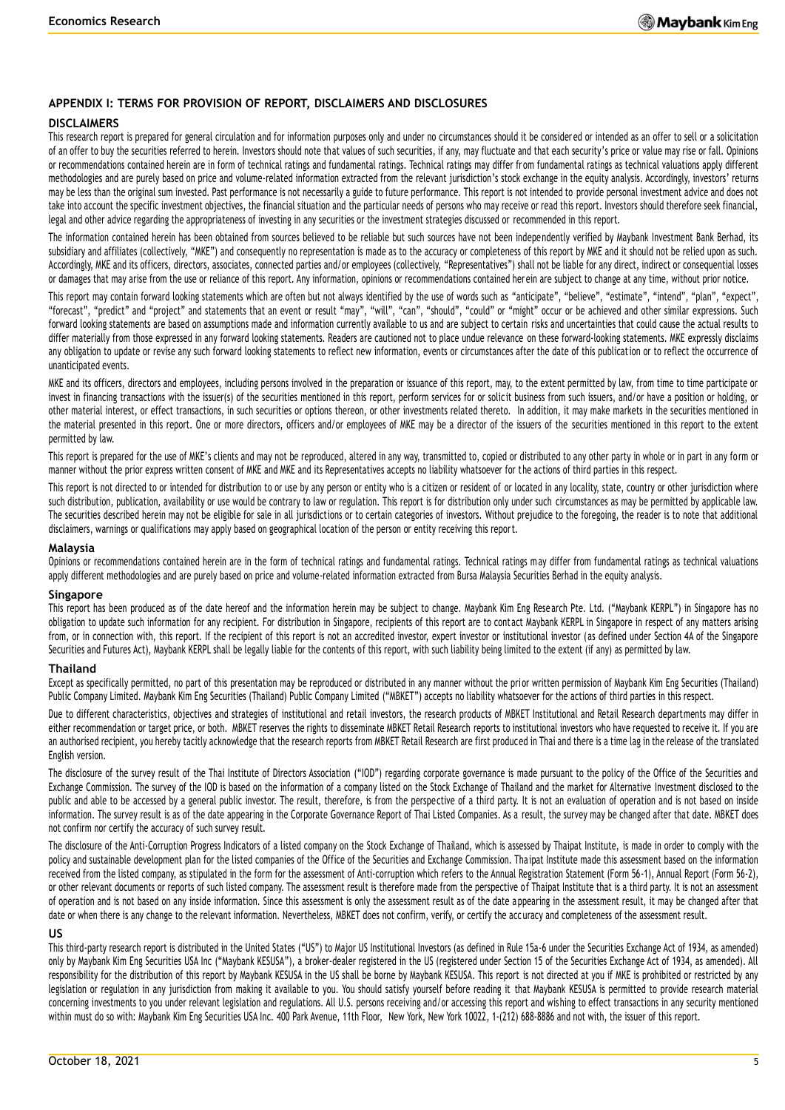#### **APPENDIX I: TERMS FOR PROVISION OF REPORT, DISCLAIMERS AND DISCLOSURES**

#### **DISCLAIMERS**

This research report is prepared for general circulation and for information purposes only and under no circumstances should it be considered or intended as an offer to sell or a solicitation of an offer to buy the securities referred to herein. Investors should note that values of such securities, if any, may fluctuate and that each security's price or value may rise or fall. Opinions or recommendations contained herein are in form of technical ratings and fundamental ratings. Technical ratings may differ from fundamental ratings as technical valuations apply different methodologies and are purely based on price and volume-related information extracted from the relevant jurisdiction's stock exchange in the equity analysis. Accordingly, investors' returns may be less than the original sum invested. Past performance is not necessarily a guide to future performance. This report is not intended to provide personal investment advice and does not take into account the specific investment objectives, the financial situation and the particular needs of persons who may receive or read this report. Investors should therefore seek financial, legal and other advice regarding the appropriateness of investing in any securities or the investment strategies discussed or recommended in this report.

The information contained herein has been obtained from sources believed to be reliable but such sources have not been independently verified by Maybank Investment Bank Berhad, its subsidiary and affiliates (collectively, "MKE") and consequently no representation is made as to the accuracy or completeness of this report by MKE and it should not be relied upon as such. Accordingly, MKE and its officers, directors, associates, connected parties and/or employees (collectively, "Representatives") shall not be liable for any direct, indirect or consequential losses or damages that may arise from the use or reliance of this report. Any information, opinions or recommendations contained herein are subject to change at any time, without prior notice.

This report may contain forward looking statements which are often but not always identified by the use of words such as "anticipate", "believe", "estimate", "intend", "plan", "expect", "forecast", "predict" and "project" and statements that an event or result "may", "will", "can", "should", "could" or "might" occur or be achieved and other similar expressions. Such forward looking statements are based on assumptions made and information currently available to us and are subject to certain risks and uncertainties that could cause the actual results to differ materially from those expressed in any forward looking statements. Readers are cautioned not to place undue relevance on these forward-looking statements. MKE expressly disclaims any obligation to update or revise any such forward looking statements to reflect new information, events or circumstances after the date of this publication or to reflect the occurrence of unanticipated events.

MKE and its officers, directors and employees, including persons involved in the preparation or issuance of this report, may, to the extent permitted by law, from time to time participate or invest in financing transactions with the issuer(s) of the securities mentioned in this report, perform services for or solicit business from such issuers, and/or have a position or holding, or other material interest, or effect transactions, in such securities or options thereon, or other investments related thereto. In addition, it may make markets in the securities mentioned in the material presented in this report. One or more directors, officers and/or employees of MKE may be a director of the issuers of the securities mentioned in this report to the extent permitted by law.

This report is prepared for the use of MKE's clients and may not be reproduced, altered in any way, transmitted to, copied or distributed to any other party in whole or in part in any form or manner without the prior express written consent of MKE and MKE and its Representatives accepts no liability whatsoever for the actions of third parties in this respect.

This report is not directed to or intended for distribution to or use by any person or entity who is a citizen or resident of or located in any locality, state, country or other jurisdiction where such distribution, publication, availability or use would be contrary to law or regulation. This report is for distribution only under such circumstances as may be permitted by applicable law. The securities described herein may not be eligible for sale in all jurisdictions or to certain categories of investors. Without prejudice to the foregoing, the reader is to note that additional disclaimers, warnings or qualifications may apply based on geographical location of the person or entity receiving this report.

#### **Malaysia**

Opinions or recommendations contained herein are in the form of technical ratings and fundamental ratings. Technical ratings may differ from fundamental ratings as technical valuations apply different methodologies and are purely based on price and volume-related information extracted from Bursa Malaysia Securities Berhad in the equity analysis.

#### **Singapore**

This report has been produced as of the date hereof and the information herein may be subject to change. Maybank Kim Eng Rese arch Pte. Ltd. ("Maybank KERPL") in Singapore has no obligation to update such information for any recipient. For distribution in Singapore, recipients of this report are to contact Maybank KERPL in Singapore in respect of any matters arising from, or in connection with, this report. If the recipient of this report is not an accredited investor, expert investor or institutional investor (as defined under Section 4A of the Singapore Securities and Futures Act), Maybank KERPL shall be legally liable for the contents of this report, with such liability being limited to the extent (if any) as permitted by law.

#### **Thailand**

Except as specifically permitted, no part of this presentation may be reproduced or distributed in any manner without the prior written permission of Maybank Kim Eng Securities (Thailand) Public Company Limited. Maybank Kim Eng Securities (Thailand) Public Company Limited ("MBKET") accepts no liability whatsoever for the actions of third parties in this respect.

Due to different characteristics, objectives and strategies of institutional and retail investors, the research products of MBKET Institutional and Retail Research departments may differ in either recommendation or target price, or both. MBKET reserves the rights to disseminate MBKET Retail Research reports to institutional investors who have requested to receive it. If you are an authorised recipient, you hereby tacitly acknowledge that the research reports from MBKET Retail Research are first produced in Thai and there is a time lag in the release of the translated English version.

The disclosure of the survey result of the Thai Institute of Directors Association ("IOD") regarding corporate governance is made pursuant to the policy of the Office of the Securities and Exchange Commission. The survey of the IOD is based on the information of a company listed on the Stock Exchange of Thailand and the market for Alternative Investment disclosed to the public and able to be accessed by a general public investor. The result, therefore, is from the perspective of a third party. It is not an evaluation of operation and is not based on inside information. The survey result is as of the date appearing in the Corporate Governance Report of Thai Listed Companies. As a result, the survey may be changed after that date. MBKET does not confirm nor certify the accuracy of such survey result.

The disclosure of the Anti-Corruption Progress Indicators of a listed company on the Stock Exchange of Thailand, which is assessed by Thaipat Institute, is made in order to comply with the policy and sustainable development plan for the listed companies of the Office of the Securities and Exchange Commission. Tha ipat Institute made this assessment based on the information received from the listed company, as stipulated in the form for the assessment of Anti-corruption which refers to the Annual Registration Statement (Form 56-1), Annual Report (Form 56-2), or other relevant documents or reports of such listed company. The assessment result is therefore made from the perspective of Thaipat Institute that is a third party. It is not an assessment of operation and is not based on any inside information. Since this assessment is only the assessment result as of the date appearing in the assessment result, it may be changed after that date or when there is any change to the relevant information. Nevertheless, MBKET does not confirm, verify, or certify the accuracy and completeness of the assessment result.

#### **US**

This third-party research report is distributed in the United States ("US") to Major US Institutional Investors (as defined in Rule 15a-6 under the Securities Exchange Act of 1934, as amended) only by Maybank Kim Eng Securities USA Inc ("Maybank KESUSA"), a broker-dealer registered in the US (registered under Section 15 of the Securities Exchange Act of 1934, as amended). All responsibility for the distribution of this report by Maybank KESUSA in the US shall be borne by Maybank KESUSA. This report is not directed at you if MKE is prohibited or restricted by any legislation or regulation in any jurisdiction from making it available to you. You should satisfy yourself before reading it that Maybank KESUSA is permitted to provide research material concerning investments to you under relevant legislation and regulations. All U.S. persons receiving and/or accessing this report and wishing to effect transactions in any security mentioned within must do so with: Maybank Kim Eng Securities USA Inc. 400 Park Avenue, 11th Floor, New York, New York 10022, 1-(212) 688-8886 and not with, the issuer of this report.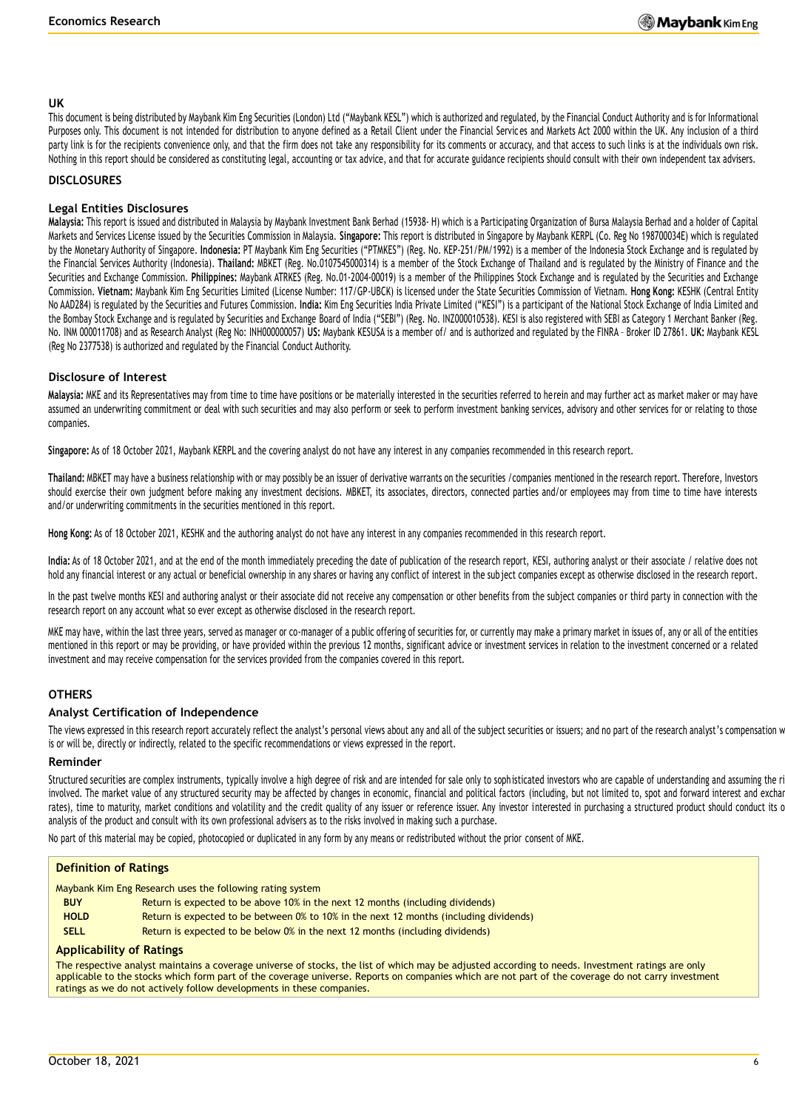#### **UK**

This document is being distributed by Maybank Kim Eng Securities (London) Ltd ("Maybank KESL") which is authorized and regulated, by the Financial Conduct Authority and is for Informational Purposes only. This document is not intended for distribution to anyone defined as a Retail Client under the Financial Services and Markets Act 2000 within the UK. Any inclusion of a third party link is for the recipients convenience only, and that the firm does not take any responsibility for its comments or accuracy, and that access to such links is at the individuals own risk. Nothing in this report should be considered as constituting legal, accounting or tax advice, and that for accurate guidance recipients should consult with their own independent tax advisers.

#### **DISCLOSURES**

#### **Legal Entities Disclosures**

**Malaysia:** This report is issued and distributed in Malaysia by Maybank Investment Bank Berhad (15938- H) which is a Participating Organization of Bursa Malaysia Berhad and a holder of Capital Markets and Services License issued by the Securities Commission in Malaysia. **Singapore:** This report is distributed in Singapore by Maybank KERPL (Co. Reg No 198700034E) which is regulated by the Monetary Authority of Singapore. **Indonesia:** PT Maybank Kim Eng Securities ("PTMKES") (Reg. No. KEP-251/PM/1992) is a member of the Indonesia Stock Exchange and is regulated by the Financial Services Authority (Indonesia). **Thailand:** MBKET (Reg. No.0107545000314) is a member of the Stock Exchange of Thailand and is regulated by the Ministry of Finance and the Securities and Exchange Commission. **Philippines:** Maybank ATRKES (Reg. No.01-2004-00019) is a member of the Philippines Stock Exchange and is regulated by the Securities and Exchange Commission. **Vietnam:** Maybank Kim Eng Securities Limited (License Number: 117/GP-UBCK) is licensed under the State Securities Commission of Vietnam. **Hong Kong:** KESHK (Central Entity No AAD284) is regulated by the Securities and Futures Commission. **India:** Kim Eng Securities India Private Limited ("KESI") is a participant of the National Stock Exchange of India Limited and the Bombay Stock Exchange and is regulated by Securities and Exchange Board of India ("SEBI") (Reg. No. INZ000010538). KESI is also registered with SEBI as Category 1 Merchant Banker (Reg. No. INM 000011708) and as Research Analyst (Reg No: INH000000057) **US:** Maybank KESUSA is a member of/ and is authorized and regulated by the FINRA – Broker ID 27861. **UK:** Maybank KESL (Reg No 2377538) is authorized and regulated by the Financial Conduct Authority.

#### **Disclosure of Interest**

**Malaysia:** MKE and its Representatives may from time to time have positions or be materially interested in the securities referred to herein and may further act as market maker or may have assumed an underwriting commitment or deal with such securities and may also perform or seek to perform investment banking services, advisory and other services for or relating to those companies.

**Singapore:** As of 18 October 2021, Maybank KERPL and the covering analyst do not have any interest in any companies recommended in this research report.

**Thailand:** MBKET may have a business relationship with or may possibly be an issuer of derivative warrants on the securities /companies mentioned in the research report. Therefore, Investors should exercise their own judgment before making any investment decisions. MBKET, its associates, directors, connected parties and/or employees may from time to time have interests and/or underwriting commitments in the securities mentioned in this report.

**Hong Kong:** As of 18 October 2021, KESHK and the authoring analyst do not have any interest in any companies recommended in this research report.

India: As of 18 October 2021, and at the end of the month immediately preceding the date of publication of the research report, KESI, authoring analyst or their associate / relative does not hold any financial interest or any actual or beneficial ownership in any shares or having any conflict of interest in the subject companies except as otherwise disclosed in the research report.

In the past twelve months KESI and authoring analyst or their associate did not receive any compensation or other benefits from the subject companies or third party in connection with the research report on any account what so ever except as otherwise disclosed in the research report.

MKE may have, within the last three years, served as manager or co-manager of a public offering of securities for, or currently may make a primary market in issues of, any or all of the entities mentioned in this report or may be providing, or have provided within the previous 12 months, significant advice or investment services in relation to the investment concerned or a related investment and may receive compensation for the services provided from the companies covered in this report.

#### **OTHERS**

#### **Analyst Certification of Independence**

The views expressed in this research report accurately reflect the analyst's personal views about any and all of the subject securities or issuers; and no part of the research analyst's compensation w is or will be, directly or indirectly, related to the specific recommendations or views expressed in the report.

#### **Reminder**

Structured securities are complex instruments, typically involve a high degree of risk and are intended for sale only to soph isticated investors who are capable of understanding and assuming the risk and are intended for involved. The market value of any structured security may be affected by changes in economic, financial and political factors (including, but not limited to, spot and forward interest and exchanges interest and exchanges i rates), time to maturity, market conditions and volatility and the credit quality of any issuer or reference issuer. Any investor interested in purchasing a structured product should conduct its o analysis of the product and consult with its own professional advisers as to the risks involved in making such a purchase.

No part of this material may be copied, photocopied or duplicated in any form by any means or redistributed without the prior consent of MKE.

#### **Definition of Ratings**

Maybank Kim Eng Research uses the following rating system

- **BUY** Return is expected to be above 10% in the next 12 months (including dividends)
- **HOLD** Return is expected to be between 0% to 10% in the next 12 months (including dividends)
- **SELL** Return is expected to be below 0% in the next 12 months (including dividends)

#### **Applicability of Ratings**

The respective analyst maintains a coverage universe of stocks, the list of which may be adjusted according to needs. Investment ratings are only applicable to the stocks which form part of the coverage universe. Reports on companies which are not part of the coverage do not carry investment ratings as we do not actively follow developments in these companies.